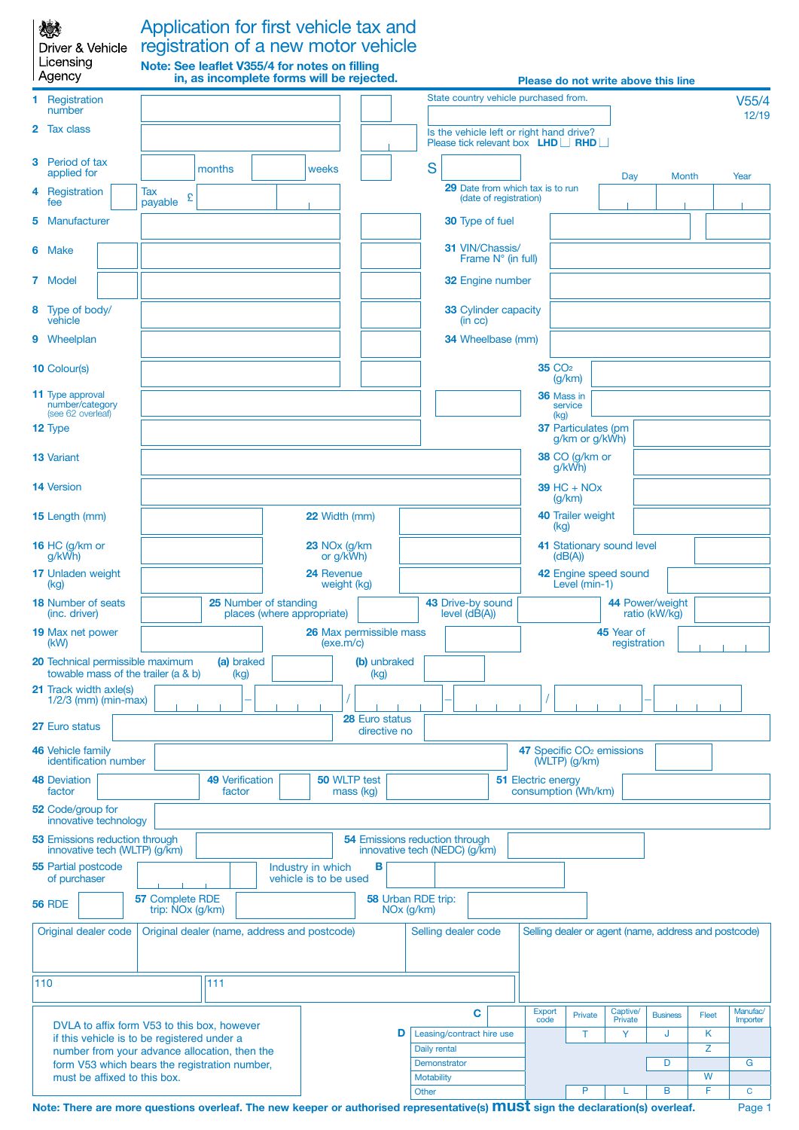Licensing

## Application for first vehicle tax and registration of a new motor vehicle **Note: See leaflet V355/4 for notes on filling**

|                                                                        | l Agency                                                                |                                                                                                                                             |        |                        | in, as incomplete forms will be rejected.           |   |                                                                        |                                              |                                              |  |                                        |                            |                                       |                                                                                     |                                       | Please do not write above this line                  |       |                      |
|------------------------------------------------------------------------|-------------------------------------------------------------------------|---------------------------------------------------------------------------------------------------------------------------------------------|--------|------------------------|-----------------------------------------------------|---|------------------------------------------------------------------------|----------------------------------------------|----------------------------------------------|--|----------------------------------------|----------------------------|---------------------------------------|-------------------------------------------------------------------------------------|---------------------------------------|------------------------------------------------------|-------|----------------------|
|                                                                        | 1 Registration<br>number                                                |                                                                                                                                             |        |                        |                                                     |   |                                                                        |                                              |                                              |  |                                        |                            | State country vehicle purchased from. |                                                                                     |                                       |                                                      |       | V55/4<br>12/19       |
| 2                                                                      | <b>Tax class</b>                                                        |                                                                                                                                             |        |                        |                                                     |   |                                                                        |                                              |                                              |  |                                        |                            |                                       | Is the vehicle left or right hand drive?<br>Please tick relevant box <b>LHD</b> RHD |                                       |                                                      |       |                      |
| 3                                                                      | Period of tax<br>applied for                                            |                                                                                                                                             | months |                        | weeks                                               |   |                                                                        |                                              | S                                            |  |                                        |                            |                                       |                                                                                     | Day                                   | Month                                                |       | Year                 |
| 4                                                                      | Registration<br>fee                                                     | Tax<br>£<br>payable                                                                                                                         |        |                        |                                                     |   |                                                                        |                                              |                                              |  | (date of registration)                 |                            | 29 Date from which tax is to run      |                                                                                     |                                       |                                                      |       |                      |
| 5.                                                                     | Manufacturer                                                            |                                                                                                                                             |        |                        |                                                     |   |                                                                        |                                              |                                              |  | <b>30</b> Type of fuel                 |                            |                                       |                                                                                     |                                       |                                                      |       |                      |
|                                                                        | 6 Make                                                                  |                                                                                                                                             |        |                        |                                                     |   |                                                                        |                                              |                                              |  | 31 VIN/Chassis/<br>Frame N° (in full)  |                            |                                       |                                                                                     |                                       |                                                      |       |                      |
|                                                                        | 7 Model                                                                 |                                                                                                                                             |        |                        |                                                     |   |                                                                        |                                              |                                              |  | <b>32 Engine number</b>                |                            |                                       |                                                                                     |                                       |                                                      |       |                      |
|                                                                        | 8 Type of body/<br>vehicle                                              |                                                                                                                                             |        |                        |                                                     |   |                                                                        |                                              |                                              |  | <b>33 Cylinder capacity</b><br>(in cc) |                            |                                       |                                                                                     |                                       |                                                      |       |                      |
|                                                                        | 9 Wheelplan                                                             |                                                                                                                                             |        |                        |                                                     |   |                                                                        |                                              |                                              |  | 34 Wheelbase (mm)                      |                            |                                       |                                                                                     |                                       |                                                      |       |                      |
|                                                                        | <b>10 Colour(s)</b>                                                     |                                                                                                                                             |        |                        |                                                     |   |                                                                        |                                              |                                              |  |                                        |                            | <b>35 CO<sub>2</sub></b>              | (g/km)                                                                              |                                       |                                                      |       |                      |
|                                                                        | <b>11</b> Type approval<br>number/category<br>(see 62 overleaf)         |                                                                                                                                             |        |                        |                                                     |   |                                                                        |                                              |                                              |  |                                        |                            |                                       | 36 Mass in<br>service<br>(kg)                                                       |                                       |                                                      |       |                      |
|                                                                        | 12 Type                                                                 |                                                                                                                                             |        |                        |                                                     |   |                                                                        |                                              |                                              |  |                                        |                            |                                       | 37 Particulates (pm<br>g/km or g/kWh)                                               |                                       |                                                      |       |                      |
|                                                                        | <b>13 Variant</b>                                                       |                                                                                                                                             |        |                        |                                                     |   |                                                                        |                                              |                                              |  |                                        |                            |                                       | 38 CO (g/km or<br>g/kWh)                                                            |                                       |                                                      |       |                      |
|                                                                        | <b>14 Version</b>                                                       |                                                                                                                                             |        |                        |                                                     |   |                                                                        |                                              |                                              |  |                                        |                            |                                       | $39$ HC + NO <sub>x</sub><br>(g/km)                                                 |                                       |                                                      |       |                      |
|                                                                        | 15 Length (mm)                                                          |                                                                                                                                             |        |                        | 22 Width (mm)                                       |   |                                                                        |                                              | 40 Trailer weight<br>(kq)                    |  |                                        |                            |                                       |                                                                                     |                                       |                                                      |       |                      |
|                                                                        | 16 HC (g/km or<br>g/kWh)                                                |                                                                                                                                             |        |                        | 23 NO <sub>x</sub> (g/km)<br>or g/kWh)              |   |                                                                        |                                              | 41 Stationary sound level<br>(dB(A))         |  |                                        |                            |                                       |                                                                                     |                                       |                                                      |       |                      |
|                                                                        | <b>17 Unladen weight</b><br>(kg)                                        |                                                                                                                                             |        |                        | 24 Revenue<br>weight (kg)                           |   |                                                                        |                                              | 42 Engine speed sound<br>Level (min-1)       |  |                                        |                            |                                       |                                                                                     |                                       |                                                      |       |                      |
|                                                                        | <b>18 Number of seats</b><br>(inc. driver)                              |                                                                                                                                             |        |                        | 25 Number of standing<br>places (where appropriate) |   |                                                                        |                                              | 43 Drive-by sound<br>$level (d\tilde{B}(A))$ |  |                                        |                            | 44 Power/weight<br>ratio (kW/kg)      |                                                                                     |                                       |                                                      |       |                      |
|                                                                        | <b>19 Max net power</b><br>(kW)                                         |                                                                                                                                             |        |                        | 26 Max permissible mass<br>(exe.m/c)                |   |                                                                        |                                              |                                              |  |                                        | 45 Year of<br>registration |                                       |                                                                                     |                                       |                                                      |       |                      |
|                                                                        | 20 Technical permissible maximum<br>towable mass of the trailer (a & b) |                                                                                                                                             |        | (a) braked<br>(kg)     |                                                     |   | (b) unbraked<br>(kg)                                                   |                                              |                                              |  |                                        |                            |                                       |                                                                                     |                                       |                                                      |       |                      |
|                                                                        | <b>21</b> Track width axle(s)<br>$1/2/3$ (mm) (min-max)                 |                                                                                                                                             |        |                        |                                                     |   |                                                                        |                                              |                                              |  |                                        |                            |                                       |                                                                                     |                                       |                                                      |       |                      |
|                                                                        | 27 Euro status                                                          |                                                                                                                                             |        |                        |                                                     |   | 28 Euro status<br>directive no                                         |                                              |                                              |  |                                        |                            |                                       |                                                                                     |                                       |                                                      |       |                      |
| <b>46 Vehicle family</b><br>identification number                      |                                                                         |                                                                                                                                             |        |                        |                                                     |   |                                                                        |                                              |                                              |  |                                        |                            |                                       | $(WLTP)$ (g/km)                                                                     | 47 Specific CO <sub>2</sub> emissions |                                                      |       |                      |
|                                                                        | <b>48 Deviation</b><br>factor                                           |                                                                                                                                             | factor | <b>49 Verification</b> |                                                     |   | 50 WLTP test<br>mass (kg)                                              |                                              |                                              |  |                                        |                            | 51 Electric energy                    | consumption (Wh/km)                                                                 |                                       |                                                      |       |                      |
|                                                                        | 52 Code/group for<br>innovative technology                              |                                                                                                                                             |        |                        |                                                     |   |                                                                        |                                              |                                              |  |                                        |                            |                                       |                                                                                     |                                       |                                                      |       |                      |
| <b>53 Emissions reduction through</b><br>innovative tech (WLTP) (g/km) |                                                                         |                                                                                                                                             |        |                        |                                                     |   | <b>54 Emissions reduction through</b><br>innovative tech (NEDC) (g/km) |                                              |                                              |  |                                        |                            |                                       |                                                                                     |                                       |                                                      |       |                      |
|                                                                        | <b>55 Partial postcode</b><br>of purchaser                              |                                                                                                                                             |        |                        | Industry in which<br>vehicle is to be used          |   | В                                                                      |                                              |                                              |  |                                        |                            |                                       |                                                                                     |                                       |                                                      |       |                      |
|                                                                        | <b>56 RDE</b>                                                           | 57 Complete RDE<br>trip: NO <sub>x</sub> (g/km)                                                                                             |        |                        |                                                     |   |                                                                        | 58 Urban RDE trip:<br>NO <sub>x</sub> (g/km) |                                              |  |                                        |                            |                                       |                                                                                     |                                       |                                                      |       |                      |
|                                                                        | Original dealer code                                                    |                                                                                                                                             |        |                        | Original dealer (name, address and postcode)        |   |                                                                        |                                              |                                              |  | Selling dealer code                    |                            |                                       |                                                                                     |                                       | Selling dealer or agent (name, address and postcode) |       |                      |
|                                                                        | 110                                                                     |                                                                                                                                             | 111    |                        |                                                     |   |                                                                        |                                              |                                              |  |                                        |                            |                                       |                                                                                     |                                       |                                                      |       |                      |
|                                                                        |                                                                         |                                                                                                                                             |        |                        |                                                     |   |                                                                        |                                              |                                              |  | C                                      |                            | <b>Export</b><br>code                 | Private                                                                             | Captive/<br>Private                   | <b>Business</b>                                      | Fleet | Manufac/<br>Importer |
|                                                                        |                                                                         | DVLA to affix form V53 to this box, however<br>if this vehicle is to be registered under a<br>number from your advance allocation, then the |        |                        |                                                     | D |                                                                        |                                              | Leasing/contract hire use<br>Daily rental    |  |                                        |                            | T                                     | Y                                                                                   | J                                     | Κ<br>Z                                               |       |                      |
|                                                                        |                                                                         | form V53 which bears the registration number,                                                                                               |        |                        |                                                     |   |                                                                        |                                              | Demonstrator                                 |  |                                        |                            |                                       |                                                                                     | D                                     |                                                      | G     |                      |

must be affixed to this box.

**Motability Williams and Security Williams and Security Williams and Security Williams and Williams and Williams and W** Other **P P L B F C**